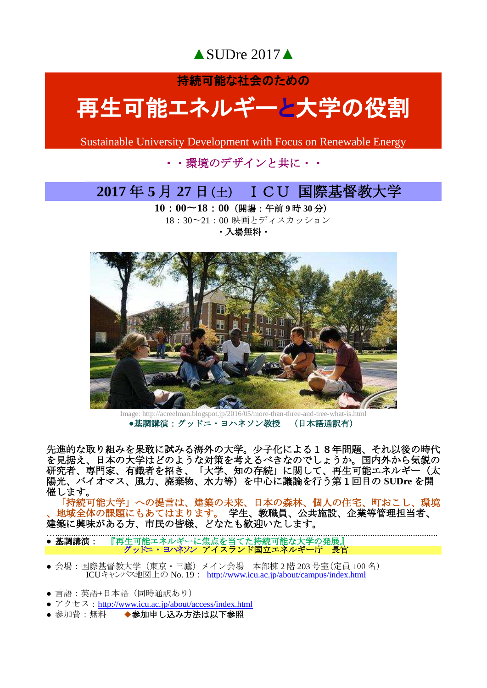▲SUDre 2017▲

持続可能な社会のための

# 再生可能エネルギーと大学の役割

Sustainable University Development with Focus on Renewable Energy

### ・・環境のデザインと共に・・

### **2017** 年 **5** 月 **27** 日(土) ICU 国際基督教大学

**10**:**00**〜**18**:**00**(開場:午前 **9** 時 **30** 分) 18:30〜21:00 映画とディスカッション

・入場無料・



Image: http://acreelman.blogspot.jp/2016/05/more-than-three-and-tree-what-is.html **●**基調講演:グッドニ・ヨハネソン教授 (日本語通訳有)

先進的な取り組みを果敢に試みる海外の大学。少子化による18年問題、それ以後の時代 を見据え、日本の大学はどのような対策を考えるべきなのでしょうか。国内外から気鋭の 研究者、専門家、有識者を招き、「大学、知の存続」に関して、再生可能エネルギー(太 陽光、バイオマス、風力、廃棄物、水力等)を中心に議論を行う第1回目の **SUDre** を開 催します。

「持続可能大学」への提言は、建築の未来、日本の森林、個人の住宅、町おこし、環境 、地域全体の課題にもあてはまります。 学生、教職員、公共施設、企業等管理担当者、 建築に興味がある方、市民の皆様、どなたも歓迎いたします。

….......................................................................................................................................................................... ● **基調講演:** 『再生可能エネルギーに焦点を当てた持続可能な大学の発展』 コンドニ・コン・コンネソン アイスランド国立エネルギー庁 長官

- 会場:国際基督教大学(東京・三鷹) メイン会場 本部棟 2 階 203 号室(定員 100 名) ICUキャンパス地図上の No. 19: http://www.icu.ac.jp/about/campus/index.html
- 言語: 英語+日本語 (同時通訳あり)
- アクセス: <http://www.icu.ac.jp/about/access/index.html>
- 参加費:無料 ◆参加申し込み方法は以下参照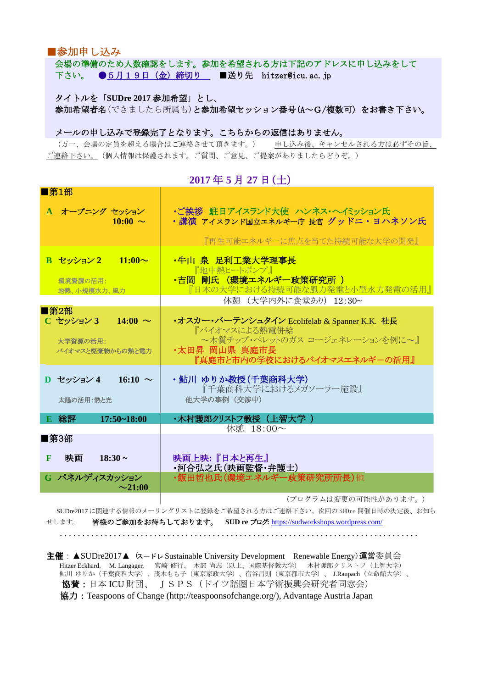■参加申し込み

 会場の準備のため人数確認をします。参加を希望される方は下記のアドレスに申し込みをして 下さい。 ●5月19日 (金) 締切り ■送り先 hitzer@icu.ac.jp

 タイトルを「**SUDre 2017** 参加希望」とし、 参加希望者名(できましたら所属も)と参加希望セッション番号(A~G/複数可)をお書き下さい。

#### メールの申し込みで登録完了となります。こちらからの返信はありません。

(万一、会場の定員を超える場合はご連絡させて頂きます。) 申し込み後、キャンセルされる方は必ずその旨、 ご連絡下さい。(個人情報は保護されます。ご質問、ご意見、ご提案がありましたらどうぞ。)

**2017** 年 **5** 月 **27** 日(土)

| ■第1部                           |                                                                    |
|--------------------------------|--------------------------------------------------------------------|
| A オープニング セッション<br>$10:00 \sim$ | ・ご挨拶 駐日アイスランド大使 ハンネス・ヘイミッション氏<br>・講演 アイスランド国立エネルギー庁 長官 グッドニ・ヨハネソン氏 |
|                                | 『再生可能エネルギーに焦点を当てた持続可能な大学の開発』                                       |
| $\frac{B}{C}$ セッション 2 11:00~   | ・牛山 泉 足利工業大学理事長<br>「地中熱ヒートポンプ」                                     |
| 環境資源の活用:<br>地熱、小規模水力、風力        | ・吉岡 剛氏 (環境エネルギー政策研究所)<br>『日本の大学における持続可能な風力発電と小型水力発電の活用』            |
|                                | 休憩 (大学内外に食堂あり) 12:30~                                              |
| ■第2部                           |                                                                    |
| C セッション 3<br>14:00 $\sim$      | ・オスカー・バーテンシュタイン Ecolifelab & Spanner K.K. 社長<br>『バイオマスによる熱電併給      |
| 大学資源の活用:                       | ~木質チップ・ペレットのガス コージェネレーションを例に~』                                     |
| バイオマスと廃棄物からの熱と雷力               | ・太田昇 岡山県 真庭市長<br>『真庭市と市内の学校におけるバイオマスエネルギーの活用』                      |
|                                |                                                                    |
| D セッション 4<br>16:10 $\sim$      | ・鮎川 ゆりか教授(千葉商科大学)<br>『千葉商科大学におけるメガソーラー施設』                          |
| 太陽の活用:熱と光                      | 他大学の事例 (交渉中)                                                       |
| <b>E 総評</b><br>$17:50 - 18:00$ | ・木村護郎クリストフ教授(上智大学 )                                                |
| ■第3部                           | 休憩 18:00~                                                          |
|                                |                                                                    |
| 映画<br>$18:30 \sim$<br>F        | 映画上映:『日本と再生』<br>·河合弘之氏(映画監督·弁護士)                                   |
| G パネルディスカッション<br>$\sim$ 21:00  | ・飯田哲也氏(環境エネルギー政策研究所所長)他                                            |
|                                | (プログラムは変更の可能性があります。)                                               |

 SUDre2017 に関連する情報のメーリングリストに登録をご希望される方はご連絡下さい。次回の SUDre 開催日時の決定後、お知ら せします。 皆様のご参加をお待ちしております。 **SUD re** ブログ**:** <https://sudworkshops.wordpress.com/>

................................................................................

主催: ▲SUDre2017▲ (スードレ Sustainable University Development Renewable Energy)運営委員会 Hitzer Eckhard, M. Langager, 宮崎 修行、 木部 尚志(以上、国際基督教大学) 木村護郎クリストフ(上智大学) 鮎川 ゆりか(千葉商科大学)、茂木もも子(東京家政大学)、宿谷昌則(東京都市大学)、 J.Raupach(立命館大学)、 協賛:日本 ICU 財団、 JSPS (ドイツ語圏日本学術振興会研究者同窓会) 協力:Teaspoons of Change (http://teaspoonsofchange.org/), Advantage Austria Japan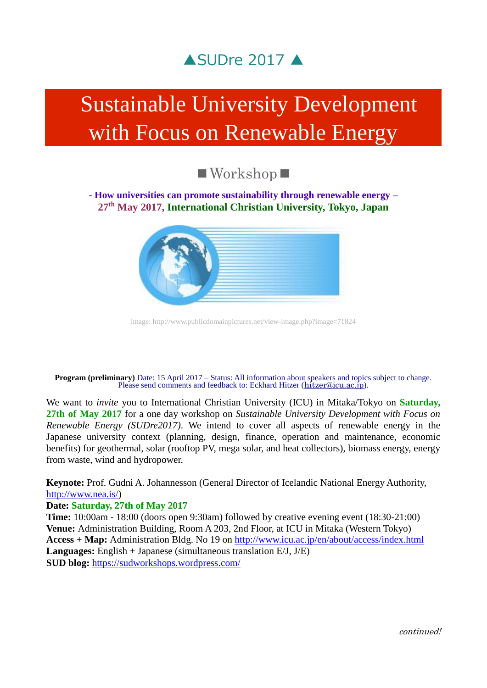

# Sustainable University Development with Focus on Renewable Energy

## ■Workshop■

### **- How universities can promote sustainability through renewable energy – 27th May 2017, International Christian University, Tokyo, Japan**



image: http://www.publicdomainpictures.net/view-image.php?image=71824

**Program (preliminary)** Date: 15 April 2017 – Status: All information about speakers and topics subject to change. Please send comments and feedback to: Eckhard Hitzer ([hitzer@icu.ac.jp](mailto:hitzer@icu.ac.jp)).

We want to *invite* you to International Christian University (ICU) in Mitaka/Tokyo on **Saturday, 27th of May 2017** for a one day workshop on *Sustainable University Development with Focus on Renewable Energy (SUDre2017)*. We intend to cover all aspects of renewable energy in the Japanese university context (planning, design, finance, operation and maintenance, economic benefits) for geothermal, solar (rooftop PV, mega solar, and heat collectors), biomass energy, energy from waste, wind and hydropower.

**Keynote:** Prof. Gudni A. Johannesson (General Director of Icelandic National Energy Authority, [http://www.nea.is/\)](http://www.nea.is/)

#### **Date: Saturday, 27th of May 2017**

**Time:** 10:00am - 18:00 (doors open 9:30am) followed by creative evening event (18:30-21:00) **Venue:** Administration Building, Room A 203, 2nd Floor, at ICU in Mitaka (Western Tokyo) **Access + Map:** Administration Bldg. No 19 on <http://www.icu.ac.jp/en/about/access/index.html> **Languages:** English + Japanese (simultaneous translation E/J, J/E) **SUD blog:** <https://sudworkshops.wordpress.com/>